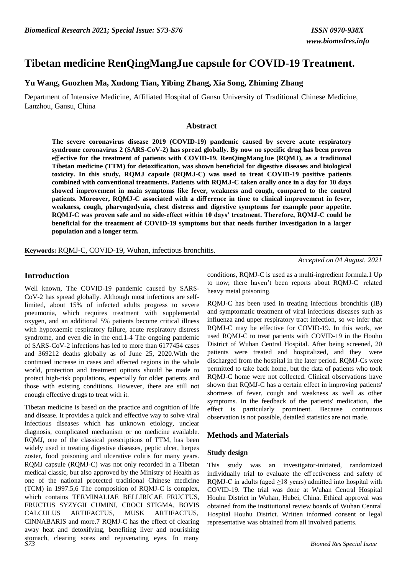# **Tibetan medicine RenQingMangJue capsule for COVID-19 Treatment.**

### **Yu Wang, Guozhen Ma, Xudong Tian, Yibing Zhang, Xia Song, Zhiming Zhang**

Department of Intensive Medicine, Affiliated Hospital of Gansu University of Traditional Chinese Medicine, Lanzhou, Gansu, China

#### **Abstract**

**The severe coronavirus disease 2019 (COVID-19) pandemic caused by severe acute respiratory syndrome coronavirus 2 (SARS-CoV-2) has spread globally. By now no specific drug has been proven e**ff **ective for the treatment of patients with COVID-19. RenQingMangJue (RQMJ), as a traditional Tibetan medicine (TTM) for detoxification, was shown beneficial for digestive diseases and biological toxicity. In this study, RQMJ capsule (RQMJ-C) was used to treat COVID-19 positive patients combined with conventional treatments. Patients with RQMJ-C taken orally once in a day for 10 days showed improvement in main symptoms like fever, weakness and cough, compared to the control** patients. Moreover, RQMJ-C associated with a difference in time to clinical improvement in fever, **weakness, cough, pharyngodynia, chest distress and digestive symptoms for example poor appetite. RQMJ-C was proven safe and no side-effect within 10 days' treatment. Therefore, RQMJ-C could be beneficial for the treatment of COVID-19 symptoms but that needs further investigation in a larger population and a longer term.**

**Keywords:** RQMJ-C, COVID-19, Wuhan, infectious bronchitis.

#### **Introduction**

Well known, The COVID-19 pandemic caused by SARS-CoV-2 has spread globally. Although most infections are selflimited, about 15% of infected adults progress to severe pneumonia, which requires treatment with supplemental oxygen, and an additional 5% patients become critical illness with hypoxaemic respiratory failure, acute respiratory distress syndrome, and even die in the end.1-4 The ongoing pandemic of SARS-CoV-2 infections has led to more than 6177454 cases and 369212 deaths globally as of June 25, 2020.With the continued increase in cases and affected regions in the whole world, protection and treatment options should be made to protect high-risk populations, especially for older patients and those with existing conditions. However, there are still not enough effective drugs to treat with it.

*S73 Biomed Res Special Issue* Tibetan medicine is based on the practice and cognition of life and disease. It provides a quick and effective way to solve viral infectious diseases which has unknown etiology, unclear diagnosis, complicated mechanism or no medicine available. RQMJ, one of the classical prescriptions of TTM, has been widely used in treating digestive diseases, peptic ulcer, herpes zoster, food poisoning and ulcerative colitis for many years. RQMJ capsule (RQMJ-C) was not only recorded in a Tibetan medical classic, but also approved by the Ministry of Health as one of the national protected traditional Chinese medicine (TCM) in 1997.5,6 The composition of RQMJ-C is complex, which contains TERMINALIAE BELLIRICAE FRUCTUS, FRUCTUS SYZYGII CUMINI, CROCI STIGMA, BOVIS CALCULUS ARTIFACTUS, MUSK ARTIFACTUS, CINNABARIS and more.7 RQMJ-C has the effect of clearing away heat and detoxifying, benefiting liver and nourishing stomach, clearing sores and rejuvenating eyes. In many

conditions, RQMJ-C is used as a multi-ingredient formula.1 Up to now; there haven't been reports about RQMJ-C related heavy metal poisoning.

*Accepted on 04 August, 2021*

RQMJ-C has been used in treating infectious bronchitis (IB) and symptomatic treatment of viral infectious diseases such as influenza and upper respiratory tract infection, so we infer that RQMJ-C may be effective for COVID-19. In this work, we used RQMJ-C to treat patients with COVID-19 in the Houhu District of Wuhan Central Hospital. After being screened, 20 patients were treated and hospitalized, and they were discharged from the hospital in the later period. RQMJ-Cs were permitted to take back home, but the data of patients who took RQMJ-C home were not collected. Clinical observations have shown that RQMJ-C has a certain effect in improving patients' shortness of fever, cough and weakness as well as other symptoms. In the feedback of the patients' medication, the effect is particularly prominent. Because continuous observation is not possible, detailed statistics are not made.

### **Methods and Materials**

#### **Study design**

This study was an investigator-initiated, randomized individually trial to evaluate the eff ectiveness and safety of RQMJ-C in adults (aged  $\geq$ 18 years) admitted into hospital with COVID-19. The trial was done at Wuhan Central Hospital Houhu District in Wuhan, Hubei, China. Ethical approval was obtained from the institutional review boards of Wuhan Central Hospital Houhu District. Written informed consent or legal representative was obtained from all involved patients.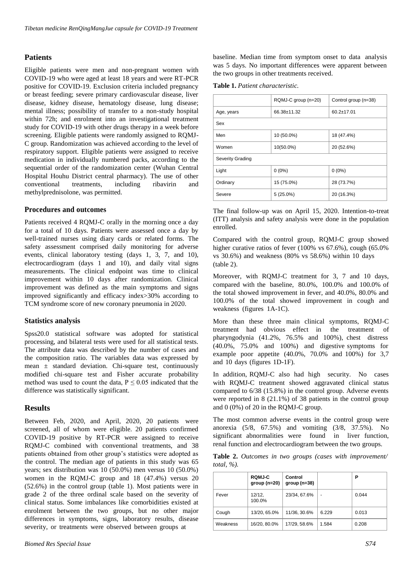#### **Patients**

Eligible patients were men and non-pregnant women with COVID-19 who were aged at least 18 years and were RT-PCR positive for COVID-19. Exclusion criteria included pregnancy or breast feeding; severe primary cardiovascular disease, liver disease, kidney disease, hematology disease, lung disease; mental illness; possibility of transfer to a non-study hospital within 72h; and enrolment into an investigational treatment study for COVID-19 with other drugs therapy in a week before screening. Eligible patients were randomly assigned to RQMJ-C group. Randomization was achieved according to the level of respiratory support. Eligible patients were assigned to receive medication in individually numbered packs, according to the sequential order of the randomization center (Wuhan Central Hospital Houhu District central pharmacy). The use of other conventional treatments, including ribavirin and methylprednisolone, was permitted.

#### **Procedures and outcomes**

Patients received 4 RQMJ-C orally in the morning once a day for a total of 10 days. Patients were assessed once a day by well-trained nurses using diary cards or related forms. The safety assessment comprised daily monitoring for adverse events, clinical laboratory testing (days 1, 3, 7, and 10), electrocardiogram (days 1 and 10), and daily vital signs measurements. The clinical endpoint was time to clinical improvement within 10 days after randomization. Clinical improvement was defined as the main symptoms and signs improved significantly and efficacy index>30% according to TCM syndrome score of new coronary pneumonia in 2020.

#### **Statistics analysis**

Spss20.0 statistical software was adopted for statistical processing, and bilateral tests were used for all statistical tests. The attribute data was described by the number of cases and the composition ratio. The variables data was expressed by mean  $\pm$  standard deviation. Chi-square test, continuously modified chi-square test and Fisher accurate probability method was used to count the data,  $P \le 0.05$  indicated that the difference was statistically significant.

#### **Results**

Between Feb, 2020, and April, 2020, 20 patients were screened, all of whom were eligible. 20 patients confirmed COVID-19 positive by RT-PCR were assigned to receive RQMJ-C combined with conventional treatments, and 38 patients obtained from other group's statistics were adopted as the control. The median age of patients in this study was 65 years; sex distribution was 10 (50.0%) men versus 10 (50.0%) women in the RQMJ-C group and 18 (47.4%) versus 20 (52.6%) in the control group (table 1). Most patients were in grade 2 of the three ordinal scale based on the severity of clinical status. Some imbalances like comorbidities existed at enrolment between the two groups, but no other major differences in symptoms, signs, laboratory results, disease severity, or treatments were observed between groups at

baseline. Median time from symptom onset to data analysis was 5 days. No important differences were apparent between the two groups in other treatments received.

**Table 1.** *Patient characteristic.*

|                  | RQMJ-C group (n=20) | Control group (n=38) |  |  |  |  |  |  |
|------------------|---------------------|----------------------|--|--|--|--|--|--|
| Age, years       | 66.38±11.32         | $60.2 \pm 17.01$     |  |  |  |  |  |  |
| Sex              |                     |                      |  |  |  |  |  |  |
| Men              | 10 (50.0%)          | 18 (47.4%)           |  |  |  |  |  |  |
| Women            | 10(50.0%)           | 20 (52.6%)           |  |  |  |  |  |  |
| Severity Grading |                     |                      |  |  |  |  |  |  |
| Light            | $0(0\%)$            | $0(0\%)$             |  |  |  |  |  |  |
| Ordinary         | 15 (75.0%)          | 28 (73.7%)           |  |  |  |  |  |  |
| Severe           | $5(25.0\%)$         | 20 (16.3%)           |  |  |  |  |  |  |

The final follow-up was on April 15, 2020. Intention-to-treat (ITT) analysis and safety analysis were done in the population enrolled.

Compared with the control group, RQMJ-C group showed higher curative ratios of fever (100% vs 67.6%), cough (65.0%) vs 30.6%) and weakness (80% vs 58.6%) within 10 days (table 2).

Moreover, with RQMJ-C treatment for 3, 7 and 10 days, compared with the baseline, 80.0%, 100.0% and 100.0% of the total showed improvement in fever, and 40.0%, 80.0% and 100.0% of the total showed improvement in cough and weakness (figures 1A-1C).

More than these three main clinical symptoms, RQMJ-C treatment had obvious effect in the treatment of pharyngodynia (41.2%, 76.5% and 100%), chest distress (40.0%, 75.0% and 100%) and digestive symptoms for example poor appetite (40.0%, 70.0% and 100%) for 3,7 and 10 days (figures 1D-1F).

In addition, RQMJ-C also had high security. No cases with RQMJ-C treatment showed aggravated clinical status compared to 6/38 (15.8%) in the control group. Adverse events were reported in 8 (21.1%) of 38 patients in the control group and 0 (0%) of 20 in the RQMJ-C group.

The most common adverse events in the control group were anorexia (5/8, 67.5%) and vomiting (3/8, 37.5%). No significant abnormalities were found in liver function, renal function and electrocardiogram between the two groups.

|                |  |  |  | Table 2. Outcomes in two groups (cases with improvement/ |
|----------------|--|--|--|----------------------------------------------------------|
| total, $\%$ ). |  |  |  |                                                          |

|          | <b>RQMJ-C</b><br>$group(n=20)$ | Control<br>$group(n=38)$ |                | Ρ     |
|----------|--------------------------------|--------------------------|----------------|-------|
| Fever    | 12/12,<br>100.0%               | 23/34, 67.6%             | $\blacksquare$ | 0.044 |
| Cough    | 13/20, 65.0%                   | 11/36, 30.6%             | 6.229          | 0.013 |
| Weakness | 16/20, 80.0%                   | 17/29, 58.6%             | 1.584          | 0.208 |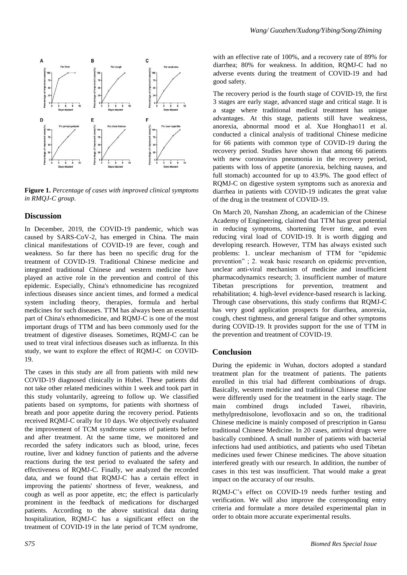

**Figure 1.** *Percentage of cases with improved clinical symptoms in RMQJ-C group.*

### **Discussion**

In December, 2019, the COVID-19 pandemic, which was caused by SARS-CoV-2, has emerged in China. The main clinical manifestations of COVID-19 are fever, cough and weakness. So far there has been no specific drug for the treatment of COVID-19. Traditional Chinese medicine and integrated traditional Chinese and western medicine have played an active role in the prevention and control of this epidemic. Especially, China's ethnomedicine has recognized infectious diseases since ancient times, and formed a medical system including theory, therapies, formula and herbal medicines for such diseases. TTM has always been an essential part of China's ethnomedicine, and RQMJ-C is one of the most important drugs of TTM and has been commonly used for the treatment of digestive diseases. Sometimes, RQMJ-C can be used to treat viral infectious diseases such as influenza. In this study, we want to explore the effect of RQMJ-C on COVID-19.

The cases in this study are all from patients with mild new COVID-19 diagnosed clinically in Hubei. These patients did not take other related medicines within 1 week and took part in this study voluntarily, agreeing to follow up. We classified patients based on symptoms, for patients with shortness of breath and poor appetite during the recovery period. Patients received RQMJ-C orally for 10 days. We objectively evaluated the improvement of TCM syndrome scores of patients before and after treatment. At the same time, we monitored and recorded the safety indicators such as blood, urine, feces routine, liver and kidney function of patients and the adverse reactions during the test period to evaluated the safety and effectiveness of RQMJ-C. Finally, we analyzed the recorded data, and we found that RQMJ-C has a certain effect in improving the patients' shortness of fever, weakness, and cough as well as poor appetite, etc; the effect is particularly prominent in the feedback of medications for discharged patients. According to the above statistical data during hospitalization, RQMJ-C has a significant effect on the treatment of COVID-19 in the late period of TCM syndrome,

with an effective rate of 100%, and a recovery rate of 89% for diarrhea; 80% for weakness. In addition, RQMJ-C had no adverse events during the treatment of COVID-19 and had good safety.

The recovery period is the fourth stage of COVID-19, the first 3 stages are early stage, advanced stage and critical stage. It is a stage where traditional medical treatment has unique advantages. At this stage, patients still have weakness, anorexia, abnormal mood et al. Xue Honghao11 et al. conducted a clinical analysis of traditional Chinese medicine for 66 patients with common type of COVID-19 during the recovery period. Studies have shown that among 66 patients with new coronavirus pneumonia in the recovery period, patients with loss of appetite (anorexia, belching nausea, and full stomach) accounted for up to 43.9%. The good effect of RQMJ-C on digestive system symptoms such as anorexia and diarrhea in patients with COVID-19 indicates the great value of the drug in the treatment of COVID-19.

On March 20, Nanshan Zhong, an academician of the Chinese Academy of Engineering, claimed that TTM has great potential in reducing symptoms, shortening fever time, and even reducing viral load of COVID-19. It is worth digging and developing research. However, TTM has always existed such problems: 1. unclear mechanism of TTM for "epidemic prevention" ; 2. weak basic research on epidemic prevention, unclear anti-viral mechanism of medicine and insufficient pharmacodynamics research; 3. insufficient number of mature Tibetan prescriptions for prevention, treatment and rehabilitation; 4. high-level evidence-based research is lacking. Through case observations, this study confirms that RQMJ-C has very good application prospects for diarrhea, anorexia, cough, chest tightness, and general fatigue and other symptoms during COVID-19. It provides support for the use of TTM in the prevention and treatment of COVID-19.

## **Conclusion**

During the epidemic in Wuhan, doctors adopted a standard treatment plan for the treatment of patients. The patients enrolled in this trial had different combinations of drugs. Basically, western medicine and traditional Chinese medicine were differently used for the treatment in the early stage. The main combined drugs included Tawei, ribavirin, methylprednisolone, levofloxacin and so on, the traditional Chinese medicine is mainly composed of prescription in Gansu traditional Chinese Medicine. In 20 cases, antiviral drugs were basically combined. A small number of patients with bacterial infections had used antibiotics, and patients who used Tibetan medicines used fewer Chinese medicines. The above situation interfered greatly with our research. In addition, the number of cases in this test was insufficient. That would make a great impact on the accuracy of our results.

RQMJ-C's effect on COVID-19 needs further testing and verification. We will also improve the corresponding entry criteria and formulate a more detailed experimental plan in order to obtain more accurate experimental results.